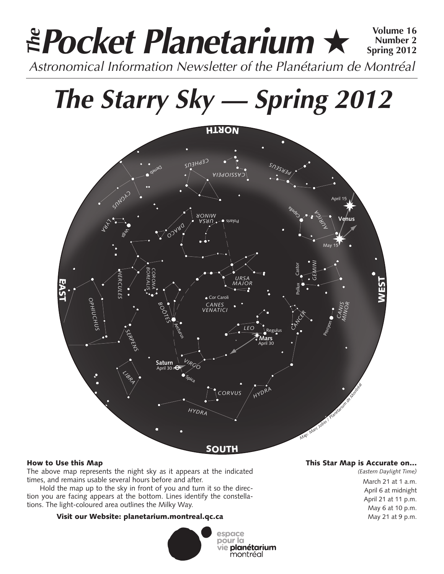# **Pocket Planetarium** ★ **Volume 16** Astronomical Information Newsletter of the Planétarium de Montréal **The Number 2 Spring 2012**

**The Starry Sky — Spring 2012**



# How to Use this Map

The above map represents the night sky as it appears at the indicated times, and remains usable several hours before and after.

Hold the map up to the sky in front of you and turn it so the direction you are facing appears at the bottom. Lines identify the constellations. The light-coloured area outlines the Milky Way.

# Visit our Website: planetarium.montreal.qc.ca



# This Star Map is Accurate on…

*(Eastern Daylight Time)* March 21 at 1 a.m. April 6 at midnight April 21 at 11 p.m. May 6 at 10 p.m. May 21 at 9 p.m.